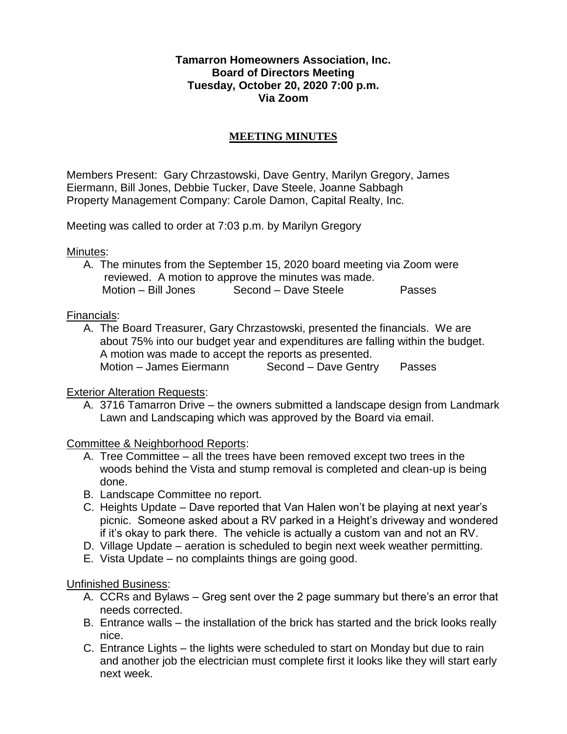## **Tamarron Homeowners Association, Inc. Board of Directors Meeting Tuesday, October 20, 2020 7:00 p.m. Via Zoom**

## **MEETING MINUTES**

Members Present: Gary Chrzastowski, Dave Gentry, Marilyn Gregory, James Eiermann, Bill Jones, Debbie Tucker, Dave Steele, Joanne Sabbagh Property Management Company: Carole Damon, Capital Realty, Inc.

Meeting was called to order at 7:03 p.m. by Marilyn Gregory

Minutes:

A. The minutes from the September 15, 2020 board meeting via Zoom were reviewed. A motion to approve the minutes was made. Motion – Bill Jones Second – Dave Steele Passes

## Financials:

A. The Board Treasurer, Gary Chrzastowski, presented the financials. We are about 75% into our budget year and expenditures are falling within the budget. A motion was made to accept the reports as presented. Motion – James Eiermann Second – Dave Gentry Passes

## Exterior Alteration Requests:

A. 3716 Tamarron Drive – the owners submitted a landscape design from Landmark Lawn and Landscaping which was approved by the Board via email.

Committee & Neighborhood Reports:

- A. Tree Committee all the trees have been removed except two trees in the woods behind the Vista and stump removal is completed and clean-up is being done.
- B. Landscape Committee no report.
- C. Heights Update Dave reported that Van Halen won't be playing at next year's picnic. Someone asked about a RV parked in a Height's driveway and wondered if it's okay to park there. The vehicle is actually a custom van and not an RV.
- D. Village Update aeration is scheduled to begin next week weather permitting.
- E. Vista Update no complaints things are going good.

Unfinished Business:

- A. CCRs and Bylaws Greg sent over the 2 page summary but there's an error that needs corrected.
- B. Entrance walls the installation of the brick has started and the brick looks really nice.
- C. Entrance Lights the lights were scheduled to start on Monday but due to rain and another job the electrician must complete first it looks like they will start early next week.